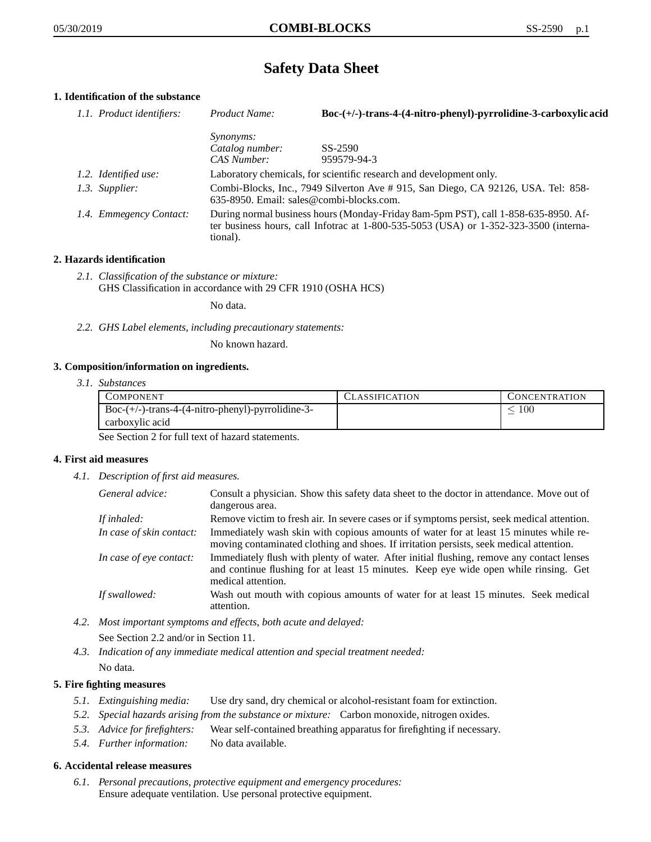# **Safety Data Sheet**

# **1. Identification of the substance**

| 1.1. Product identifiers: | Product Name:                                                                                                                                                                           | Boc-(+/-)-trans-4-(4-nitro-phenyl)-pyrrolidine-3-carboxylic acid |
|---------------------------|-----------------------------------------------------------------------------------------------------------------------------------------------------------------------------------------|------------------------------------------------------------------|
|                           | <i>Synonyms:</i>                                                                                                                                                                        |                                                                  |
|                           | Catalog number:                                                                                                                                                                         | SS-2590                                                          |
|                           | CAS Number:                                                                                                                                                                             | 959579-94-3                                                      |
| 1.2. Identified use:      | Laboratory chemicals, for scientific research and development only.                                                                                                                     |                                                                  |
| 1.3. Supplier:            | Combi-Blocks, Inc., 7949 Silverton Ave #915, San Diego, CA 92126, USA. Tel: 858-<br>635-8950. Email: sales@combi-blocks.com.                                                            |                                                                  |
| 1.4. Emmegency Contact:   | During normal business hours (Monday-Friday 8am-5pm PST), call 1-858-635-8950. Af-<br>ter business hours, call Infotrac at 1-800-535-5053 (USA) or 1-352-323-3500 (interna-<br>tional). |                                                                  |

# **2. Hazards identification**

*2.1. Classification of the substance or mixture:* GHS Classification in accordance with 29 CFR 1910 (OSHA HCS)

No data.

*2.2. GHS Label elements, including precautionary statements:*

No known hazard.

# **3. Composition/information on ingredients.**

*3.1. Substances*

| COMPONENT                                                       | <b>CLASSIFICATION</b> | <b>CONCENTRATION</b> |
|-----------------------------------------------------------------|-----------------------|----------------------|
| $Boc-(+/-)$ -trans-4- $(4\text{-nitro-phenyl})$ -pyrrolidine-3- |                       | 100                  |
| carboxylic acid                                                 |                       |                      |

See Section 2 for full text of hazard statements.

# **4. First aid measures**

*4.1. Description of first aid measures.*

| General advice:          | Consult a physician. Show this safety data sheet to the doctor in attendance. Move out of<br>dangerous area.                                                                                            |
|--------------------------|---------------------------------------------------------------------------------------------------------------------------------------------------------------------------------------------------------|
| If inhaled:              | Remove victim to fresh air. In severe cases or if symptoms persist, seek medical attention.                                                                                                             |
| In case of skin contact: | Immediately wash skin with copious amounts of water for at least 15 minutes while re-<br>moving contaminated clothing and shoes. If irritation persists, seek medical attention.                        |
| In case of eye contact:  | Immediately flush with plenty of water. After initial flushing, remove any contact lenses<br>and continue flushing for at least 15 minutes. Keep eye wide open while rinsing. Get<br>medical attention. |
| If swallowed:            | Wash out mouth with copious amounts of water for at least 15 minutes. Seek medical<br>attention.                                                                                                        |

- *4.2. Most important symptoms and effects, both acute and delayed:* See Section 2.2 and/or in Section 11.
- *4.3. Indication of any immediate medical attention and special treatment needed:* No data.

# **5. Fire fighting measures**

- *5.1. Extinguishing media:* Use dry sand, dry chemical or alcohol-resistant foam for extinction.
- *5.2. Special hazards arising from the substance or mixture:* Carbon monoxide, nitrogen oxides.
- *5.3. Advice for firefighters:* Wear self-contained breathing apparatus for firefighting if necessary.
- *5.4. Further information:* No data available.

# **6. Accidental release measures**

*6.1. Personal precautions, protective equipment and emergency procedures:* Ensure adequate ventilation. Use personal protective equipment.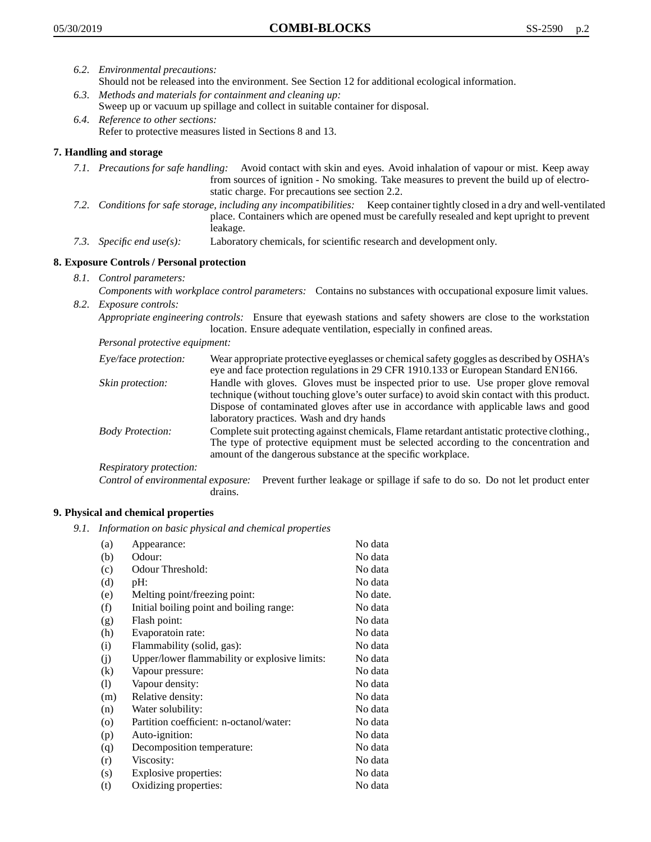- *6.2. Environmental precautions:* Should not be released into the environment. See Section 12 for additional ecological information.
- *6.3. Methods and materials for containment and cleaning up:* Sweep up or vacuum up spillage and collect in suitable container for disposal.
- *6.4. Reference to other sections:* Refer to protective measures listed in Sections 8 and 13.

# **7. Handling and storage**

- *7.1. Precautions for safe handling:* Avoid contact with skin and eyes. Avoid inhalation of vapour or mist. Keep away from sources of ignition - No smoking. Take measures to prevent the build up of electrostatic charge. For precautions see section 2.2.
- *7.2. Conditions for safe storage, including any incompatibilities:* Keep container tightly closed in a dry and well-ventilated place. Containers which are opened must be carefully resealed and kept upright to prevent leakage.
- *7.3. Specific end use(s):* Laboratory chemicals, for scientific research and development only.

# **8. Exposure Controls / Personal protection**

- *8.1. Control parameters:*
- *Components with workplace control parameters:* Contains no substances with occupational exposure limit values. *8.2. Exposure controls:*

*Appropriate engineering controls:* Ensure that eyewash stations and safety showers are close to the workstation location. Ensure adequate ventilation, especially in confined areas.

*Personal protective equipment:*

| Eye/face protection:    | Wear appropriate protective eyeglasses or chemical safety goggles as described by OSHA's<br>eye and face protection regulations in 29 CFR 1910.133 or European Standard EN166.                                                                                                                                         |
|-------------------------|------------------------------------------------------------------------------------------------------------------------------------------------------------------------------------------------------------------------------------------------------------------------------------------------------------------------|
| Skin protection:        | Handle with gloves. Gloves must be inspected prior to use. Use proper glove removal<br>technique (without touching glove's outer surface) to avoid skin contact with this product.<br>Dispose of contaminated gloves after use in accordance with applicable laws and good<br>laboratory practices. Wash and dry hands |
| <b>Body Protection:</b> | Complete suit protecting against chemicals, Flame retardant antistatic protective clothing.,<br>The type of protective equipment must be selected according to the concentration and<br>amount of the dangerous substance at the specific workplace.                                                                   |
| Respiratory protection: |                                                                                                                                                                                                                                                                                                                        |

Control of environmental exposure: Prevent further leakage or spillage if safe to do so. Do not let product enter drains.

# **9. Physical and chemical properties**

*9.1. Information on basic physical and chemical properties*

| (a)      | Appearance:                                   | No data  |
|----------|-----------------------------------------------|----------|
| (b)      | Odour:                                        | No data  |
| (c)      | Odour Threshold:                              | No data  |
| (d)      | pH:                                           | No data  |
| (e)      | Melting point/freezing point:                 | No date. |
| (f)      | Initial boiling point and boiling range:      | No data  |
| (g)      | Flash point:                                  | No data  |
| (h)      | Evaporatoin rate:                             | No data  |
| (i)      | Flammability (solid, gas):                    | No data  |
| (j)      | Upper/lower flammability or explosive limits: | No data  |
| $\rm(k)$ | Vapour pressure:                              | No data  |
| (1)      | Vapour density:                               | No data  |
| (m)      | Relative density:                             | No data  |
| (n)      | Water solubility:                             | No data  |
| $\circ$  | Partition coefficient: n-octanol/water:       | No data  |
| (p)      | Auto-ignition:                                | No data  |
| (q)      | Decomposition temperature:                    | No data  |
| (r)      | Viscosity:                                    | No data  |
| (s)      | Explosive properties:                         | No data  |
| (t)      | Oxidizing properties:                         | No data  |